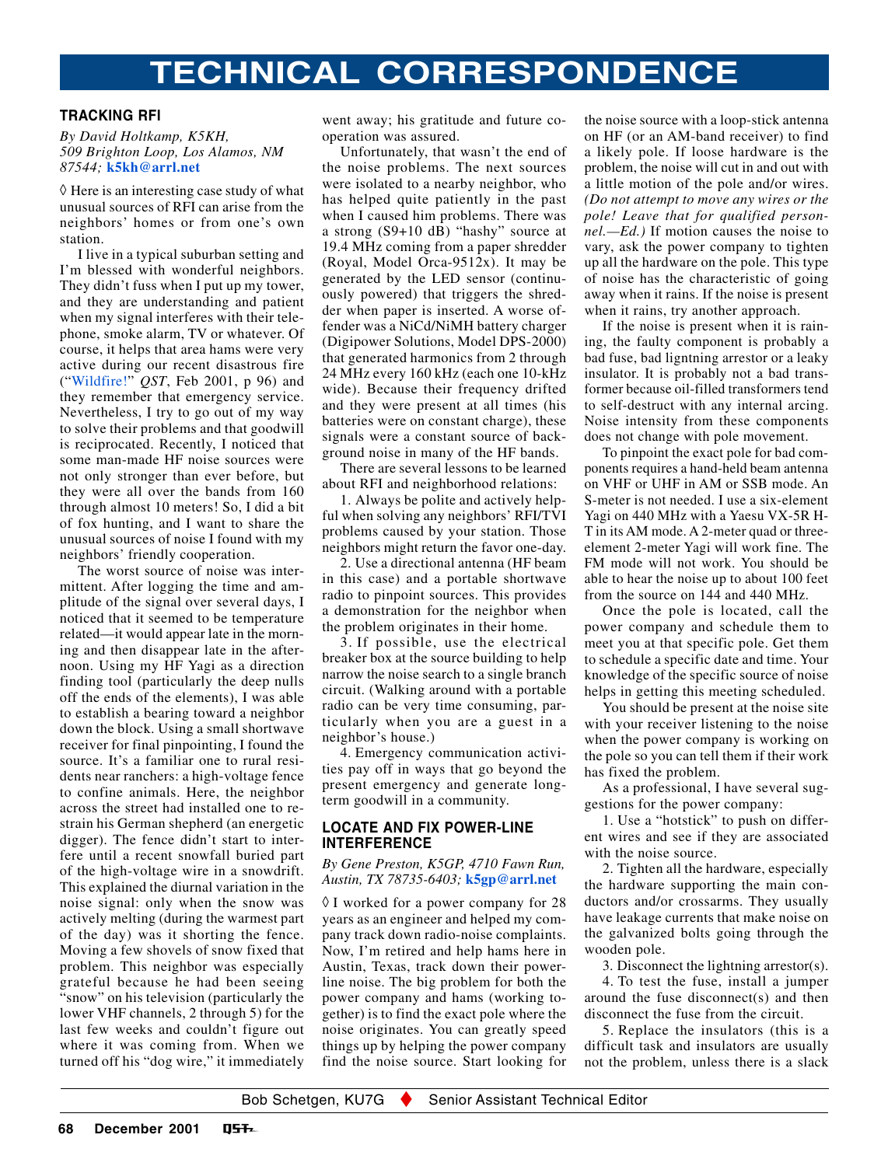# **TECHNICAL CORRESPONDENCE**

## **TRACKING RFI**

#### *By David Holtkamp, K5KH, 509 Brighton Loop, Los Alamos, NM 87544;* **[k5kh@arrl.net](mailto:k5kh@arrl.net)**

 $\Diamond$  Here is an interesting case study of what unusual sources of RFI can arise from the neighbors' homes or from one's own station.

I live in a typical suburban setting and I'm blessed with wonderful neighbors. They didn't fuss when I put up my tower, and they are understanding and patient when my signal interferes with their telephone, smoke alarm, TV or whatever. Of course, it helps that area hams were very active during our recent disastrous fire ("[Wildfire!"](#page-97-0) *QST*, Feb 2001, p 96) and they remember that emergency service. Nevertheless, I try to go out of my way to solve their problems and that goodwill is reciprocated. Recently, I noticed that some man-made HF noise sources were not only stronger than ever before, but they were all over the bands from 160 through almost 10 meters! So, I did a bit of fox hunting, and I want to share the unusual sources of noise I found with my neighbors' friendly cooperation.

The worst source of noise was intermittent. After logging the time and amplitude of the signal over several days, I noticed that it seemed to be temperature related—it would appear late in the morning and then disappear late in the afternoon. Using my HF Yagi as a direction finding tool (particularly the deep nulls off the ends of the elements), I was able to establish a bearing toward a neighbor down the block. Using a small shortwave receiver for final pinpointing, I found the source. It's a familiar one to rural residents near ranchers: a high-voltage fence to confine animals. Here, the neighbor across the street had installed one to restrain his German shepherd (an energetic digger). The fence didn't start to interfere until a recent snowfall buried part of the high-voltage wire in a snowdrift. This explained the diurnal variation in the noise signal: only when the snow was actively melting (during the warmest part of the day) was it shorting the fence. Moving a few shovels of snow fixed that problem. This neighbor was especially grateful because he had been seeing "snow" on his television (particularly the lower VHF channels, 2 through 5) for the last few weeks and couldn't figure out where it was coming from. When we turned off his "dog wire," it immediately went away; his gratitude and future cooperation was assured.

Unfortunately, that wasn't the end of the noise problems. The next sources were isolated to a nearby neighbor, who has helped quite patiently in the past when I caused him problems. There was a strong (S9+10 dB) "hashy" source at 19.4 MHz coming from a paper shredder (Royal, Model Orca-9512x). It may be generated by the LED sensor (continuously powered) that triggers the shredder when paper is inserted. A worse offender was a NiCd/NiMH battery charger (Digipower Solutions, Model DPS-2000) that generated harmonics from 2 through 24 MHz every 160 kHz (each one 10-kHz wide). Because their frequency drifted and they were present at all times (his batteries were on constant charge), these signals were a constant source of background noise in many of the HF bands.

There are several lessons to be learned about RFI and neighborhood relations:

1. Always be polite and actively helpful when solving any neighbors' RFI/TVI problems caused by your station. Those neighbors might return the favor one-day.

2. Use a directional antenna (HF beam in this case) and a portable shortwave radio to pinpoint sources. This provides a demonstration for the neighbor when the problem originates in their home.

3. If possible, use the electrical breaker box at the source building to help narrow the noise search to a single branch circuit. (Walking around with a portable radio can be very time consuming, particularly when you are a guest in a neighbor's house.)

4. Emergency communication activities pay off in ways that go beyond the present emergency and generate longterm goodwill in a community.

## **LOCATE AND FIX POWER-LINE INTERFERENCE**

### *By Gene Preston, K5GP, 4710 Fawn Run, Austin, TX 78735-6403;* **[k5gp@arrl.net](mailto:k5gp@arrl.net)**

◊ I worked for a power company for 28 years as an engineer and helped my company track down radio-noise complaints. Now, I'm retired and help hams here in Austin, Texas, track down their powerline noise. The big problem for both the power company and hams (working together) is to find the exact pole where the noise originates. You can greatly speed things up by helping the power company find the noise source. Start looking for

the noise source with a loop-stick antenna on HF (or an AM-band receiver) to find a likely pole. If loose hardware is the problem, the noise will cut in and out with a little motion of the pole and/or wires. *(Do not attempt to move any wires or the pole! Leave that for qualified personnel.—Ed.)* If motion causes the noise to vary, ask the power company to tighten up all the hardware on the pole. This type of noise has the characteristic of going away when it rains. If the noise is present when it rains, try another approach.

If the noise is present when it is raining, the faulty component is probably a bad fuse, bad ligntning arrestor or a leaky insulator. It is probably not a bad transformer because oil-filled transformers tend to self-destruct with any internal arcing. Noise intensity from these components does not change with pole movement.

To pinpoint the exact pole for bad components requires a hand-held beam antenna on VHF or UHF in AM or SSB mode. An S-meter is not needed. I use a six-element Yagi on 440 MHz with a Yaesu VX-5R H-T in its AM mode. A 2-meter quad or threeelement 2-meter Yagi will work fine. The FM mode will not work. You should be able to hear the noise up to about 100 feet from the source on 144 and 440 MHz.

Once the pole is located, call the power company and schedule them to meet you at that specific pole. Get them to schedule a specific date and time. Your knowledge of the specific source of noise helps in getting this meeting scheduled.

You should be present at the noise site with your receiver listening to the noise when the power company is working on the pole so you can tell them if their work has fixed the problem.

As a professional, I have several suggestions for the power company:

1. Use a "hotstick" to push on different wires and see if they are associated with the noise source.

2. Tighten all the hardware, especially the hardware supporting the main conductors and/or crossarms. They usually have leakage currents that make noise on the galvanized bolts going through the wooden pole.

3. Disconnect the lightning arrestor(s).

4. To test the fuse, install a jumper around the fuse disconnect(s) and then disconnect the fuse from the circuit.

5. Replace the insulators (this is a difficult task and insulators are usually not the problem, unless there is a slack